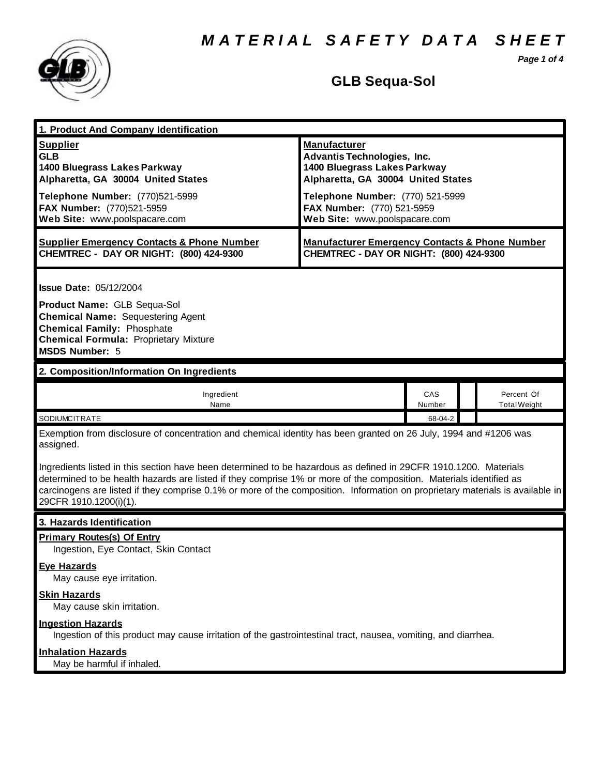*M A T E R I A L S A F E T Y D A T A S H E E T*

*Page 1 of 4*



## **GLB Sequa-Sol**

| 1. Product And Company Identification                                                                                                                                                                                                                                                                                                                                                                                                                                                                                              |                                                                                                                                                                                                                                    |               |                                   |  |
|------------------------------------------------------------------------------------------------------------------------------------------------------------------------------------------------------------------------------------------------------------------------------------------------------------------------------------------------------------------------------------------------------------------------------------------------------------------------------------------------------------------------------------|------------------------------------------------------------------------------------------------------------------------------------------------------------------------------------------------------------------------------------|---------------|-----------------------------------|--|
| <b>Supplier</b><br><b>GLB</b><br>1400 Bluegrass Lakes Parkway<br>Alpharetta, GA 30004 United States<br>Telephone Number: (770)521-5999<br>FAX Number: (770)521-5959<br>Web Site: www.poolspacare.com                                                                                                                                                                                                                                                                                                                               | <b>Manufacturer</b><br><b>Advantis Technologies, Inc.</b><br>1400 Bluegrass Lakes Parkway<br>Alpharetta, GA 30004 United States<br>Telephone Number: (770) 521-5999<br>FAX Number: (770) 521-5959<br>Web Site: www.poolspacare.com |               |                                   |  |
| <b>Supplier Emergency Contacts &amp; Phone Number</b><br>CHEMTREC - DAY OR NIGHT: (800) 424-9300                                                                                                                                                                                                                                                                                                                                                                                                                                   | <b>Manufacturer Emergency Contacts &amp; Phone Number</b><br>CHEMTREC - DAY OR NIGHT: (800) 424-9300                                                                                                                               |               |                                   |  |
| <b>Issue Date: 05/12/2004</b><br>Product Name: GLB Sequa-Sol<br><b>Chemical Name: Sequestering Agent</b><br><b>Chemical Family: Phosphate</b><br><b>Chemical Formula: Proprietary Mixture</b><br><b>MSDS Number: 5</b>                                                                                                                                                                                                                                                                                                             |                                                                                                                                                                                                                                    |               |                                   |  |
| 2. Composition/Information On Ingredients                                                                                                                                                                                                                                                                                                                                                                                                                                                                                          |                                                                                                                                                                                                                                    |               |                                   |  |
| Ingredient<br>Name                                                                                                                                                                                                                                                                                                                                                                                                                                                                                                                 |                                                                                                                                                                                                                                    | CAS<br>Number | Percent Of<br><b>Total Weight</b> |  |
| SODIUMCITRATE                                                                                                                                                                                                                                                                                                                                                                                                                                                                                                                      |                                                                                                                                                                                                                                    | 68-04-2       |                                   |  |
| Exemption from disclosure of concentration and chemical identity has been granted on 26 July, 1994 and #1206 was<br>assigned.<br>Ingredients listed in this section have been determined to be hazardous as defined in 29CFR 1910.1200. Materials<br>determined to be health hazards are listed if they comprise 1% or more of the composition. Materials identified as<br>carcinogens are listed if they comprise 0.1% or more of the composition. Information on proprietary materials is available in<br>29CFR 1910.1200(i)(1). |                                                                                                                                                                                                                                    |               |                                   |  |
| 3. Hazards Identification                                                                                                                                                                                                                                                                                                                                                                                                                                                                                                          |                                                                                                                                                                                                                                    |               |                                   |  |
| <b>Primary Routes(s) Of Entry</b><br>Ingestion, Eye Contact, Skin Contact<br><b>Eye Hazards</b>                                                                                                                                                                                                                                                                                                                                                                                                                                    |                                                                                                                                                                                                                                    |               |                                   |  |
| May cause eye irritation.<br><b>Skin Hazards</b><br>May cause skin irritation.                                                                                                                                                                                                                                                                                                                                                                                                                                                     |                                                                                                                                                                                                                                    |               |                                   |  |
| <b>Ingestion Hazards</b><br>Ingestion of this product may cause irritation of the gastrointestinal tract, nausea, vomiting, and diarrhea.                                                                                                                                                                                                                                                                                                                                                                                          |                                                                                                                                                                                                                                    |               |                                   |  |
| <b>Inhalation Hazards</b><br>May be harmful if inhaled.                                                                                                                                                                                                                                                                                                                                                                                                                                                                            |                                                                                                                                                                                                                                    |               |                                   |  |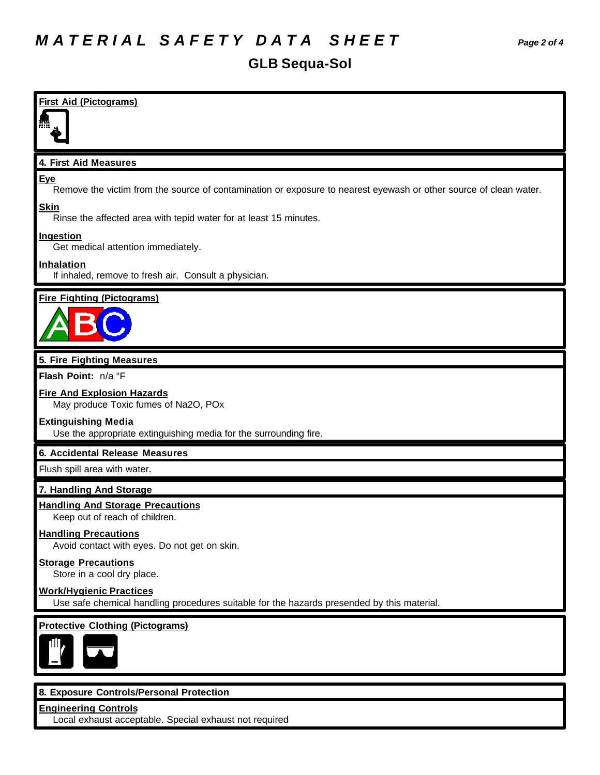| <b>First Aid (Pictograms)</b>                                                                                                |
|------------------------------------------------------------------------------------------------------------------------------|
|                                                                                                                              |
| 4. First Aid Measures                                                                                                        |
| Eye<br>Remove the victim from the source of contamination or exposure to nearest eyewash or other source of clean water.     |
| <b>Skin</b><br>Rinse the affected area with tepid water for at least 15 minutes.                                             |
| <b>Ingestion</b><br>Get medical attention immediately.                                                                       |
| <b>Inhalation</b><br>If inhaled, remove to fresh air. Consult a physician.                                                   |
| <b>Fire Fighting (Pictograms)</b>                                                                                            |
|                                                                                                                              |
| 5. Fire Fighting Measures                                                                                                    |
| Flash Point: n/a °F                                                                                                          |
| <b>Fire And Explosion Hazards</b><br>May produce Toxic fumes of Na2O, POx                                                    |
| <b>Extinguishing Media</b><br>Use the appropriate extinguishing media for the surrounding fire.                              |
| 6. Accidental Release Measures                                                                                               |
| Flush spill area with water.                                                                                                 |
| 7. Handling And Storage                                                                                                      |
| <b>Handling And Storage Precautions</b><br>Keep out of reach of children.                                                    |
| <b>Handling Precautions</b><br>Avoid contact with eyes. Do not get on skin.                                                  |
| <b>Storage Precautions</b><br>Store in a cool dry place.                                                                     |
| <b>Work/Hygienic Practices</b><br>Use safe chemical handling procedures suitable for the hazards presended by this material. |
| <b>Protective Clothing (Pictograms)</b>                                                                                      |
| ΠN                                                                                                                           |
|                                                                                                                              |
| 8. Exposure Controls/Personal Protection                                                                                     |

**Engineering Controls** Local exhaust acceptable. Special exhaust not required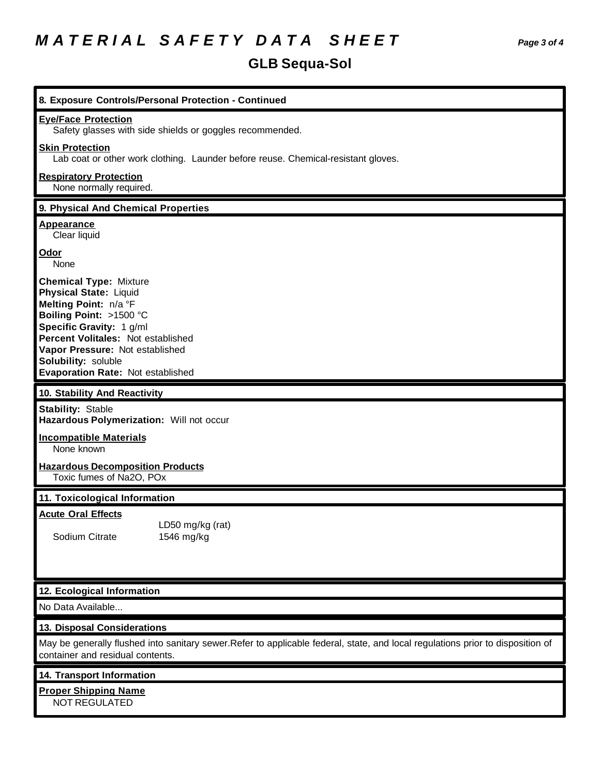## **GLB Sequa-Sol**

| 8. Exposure Controls/Personal Protection - Continued                                                                                                                                                                                                                                |
|-------------------------------------------------------------------------------------------------------------------------------------------------------------------------------------------------------------------------------------------------------------------------------------|
| <b>Eye/Face Protection</b><br>Safety glasses with side shields or goggles recommended.                                                                                                                                                                                              |
| <b>Skin Protection</b><br>Lab coat or other work clothing. Launder before reuse. Chemical-resistant gloves.                                                                                                                                                                         |
| <b>Respiratory Protection</b><br>None normally required.                                                                                                                                                                                                                            |
| 9. Physical And Chemical Properties                                                                                                                                                                                                                                                 |
| <b>Appearance</b><br>Clear liquid                                                                                                                                                                                                                                                   |
| Odor<br>None                                                                                                                                                                                                                                                                        |
| <b>Chemical Type: Mixture</b><br><b>Physical State: Liquid</b><br>Melting Point: n/a °F<br>Boiling Point: >1500 °C<br>Specific Gravity: 1 g/ml<br>Percent Volitales: Not established<br>Vapor Pressure: Not established<br>Solubility: soluble<br>Evaporation Rate: Not established |
| 10. Stability And Reactivity                                                                                                                                                                                                                                                        |
| <b>Stability: Stable</b><br>Hazardous Polymerization: Will not occur                                                                                                                                                                                                                |
| <b>Incompatible Materials</b><br>None known                                                                                                                                                                                                                                         |
| <b>Hazardous Decomposition Products</b><br>Toxic fumes of Na2O, POx                                                                                                                                                                                                                 |
| 11. Toxicological Information                                                                                                                                                                                                                                                       |
| <b>Acute Oral Effects</b><br>LD50 mg/kg (rat)<br>Sodium Citrate<br>1546 mg/kg                                                                                                                                                                                                       |
| 12. Ecological Information                                                                                                                                                                                                                                                          |
| No Data Available                                                                                                                                                                                                                                                                   |
| 13. Disposal Considerations                                                                                                                                                                                                                                                         |
| May be generally flushed into sanitary sewer.Refer to applicable federal, state, and local regulations prior to disposition of<br>container and residual contents.                                                                                                                  |
| 14. Transport Information                                                                                                                                                                                                                                                           |
| <b>Proper Shipping Name</b><br>NOT REGULATED                                                                                                                                                                                                                                        |